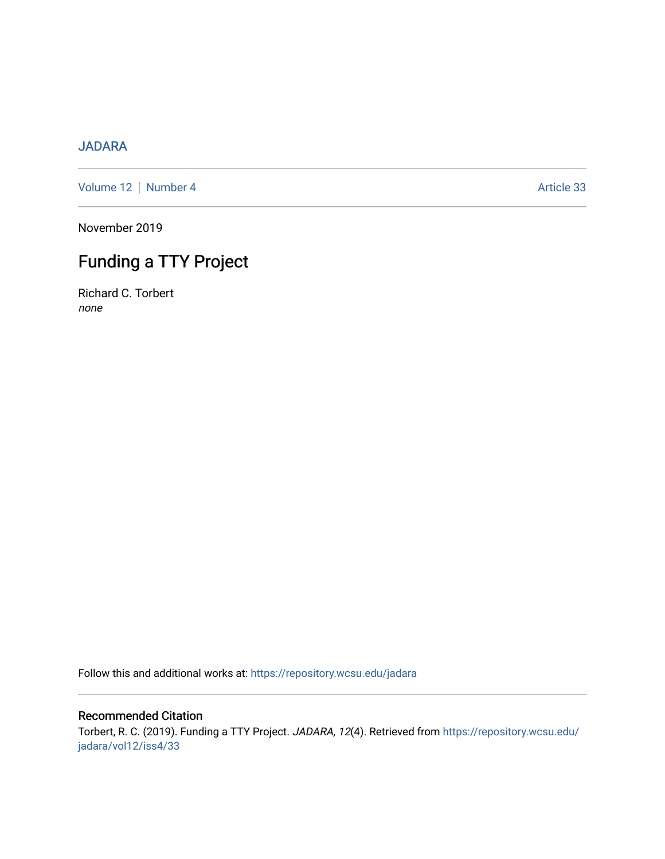## [JADARA](https://repository.wcsu.edu/jadara)

[Volume 12](https://repository.wcsu.edu/jadara/vol12) | [Number 4](https://repository.wcsu.edu/jadara/vol12/iss4) Article 33

November 2019

# Funding a TTY Project

Richard C. Torbert none

Follow this and additional works at: [https://repository.wcsu.edu/jadara](https://repository.wcsu.edu/jadara?utm_source=repository.wcsu.edu%2Fjadara%2Fvol12%2Fiss4%2F33&utm_medium=PDF&utm_campaign=PDFCoverPages)

### Recommended Citation

Torbert, R. C. (2019). Funding a TTY Project. JADARA, 12(4). Retrieved from [https://repository.wcsu.edu/](https://repository.wcsu.edu/jadara/vol12/iss4/33?utm_source=repository.wcsu.edu%2Fjadara%2Fvol12%2Fiss4%2F33&utm_medium=PDF&utm_campaign=PDFCoverPages) [jadara/vol12/iss4/33](https://repository.wcsu.edu/jadara/vol12/iss4/33?utm_source=repository.wcsu.edu%2Fjadara%2Fvol12%2Fiss4%2F33&utm_medium=PDF&utm_campaign=PDFCoverPages)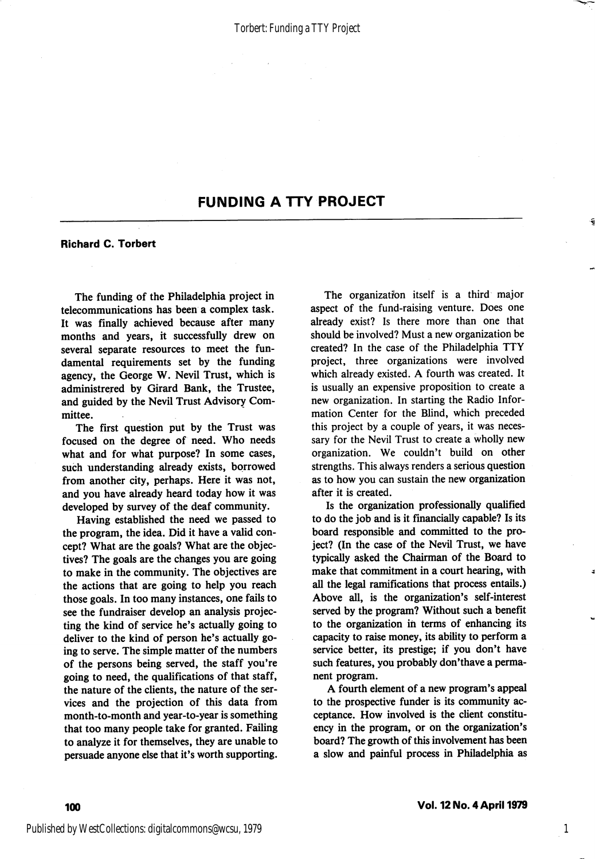## FUNDING A TTY PROJECT

#### Richard C. Torbert

The funding of the Philadelphia project in telecommunications has been a complex task. It was finally achieved because after many months and years, it successfully drew on several separate resources to meet the fun damental requirements set by the funding agency, the George W. Nevil Trust, which is administrered by Girard Bank, the Trustee, and guided by the Nevil Trust Advisory Com mittee.

The first question put by the Trust was focused on the degree of need. Who needs what and for what purpose? In some cases, such understanding already exists, borrowed from another city, perhaps. Here it was not, and you have already heard today how it was developed by survey of the deaf community.

Having established the need we passed to the program, the idea. Did it have a valid con cept? What are the goals? What are the objec tives? The goals are the changes you are going to make in the community. The objectives are the actions that are going to help you reach those goals. In too many instances, one fails to see the fundraiser develop an analysis projec ting the kind of service he's actually going to deliver to the kind of person he's actually go ing to serve. The simple matter of the numbers of the persons being served, the staff you're going to need, the qualifications of that staff, the nature of the clients, the nature of the ser vices and the projection of this data from month-to-month and year-to-year is something that too many people take for granted. Failing to analyze it for themselves, they are unable to persuade anyone else that it's worth supporting.

The organization itself is a third major aspect of the fund-raising venture. Does one already exist? Is there more than one that should be involved? Must a new organization be created? In the case of the Philadelphia TTY project, three organizations were involved which already existed. A fourth was created. It is usually an expensive proposition to create a new organization. In starting the Radio Infor mation Center for the Blind, which preceded this project by a couple of years, it was neces sary for the Nevil Trust to create a wholly new organization. We couldn't build on other strengths. This always renders a serious question as to how you can sustain the new organization after it is created.

Is the organization professionally qualified to do the job and is it financially capable? Is its board responsible and committed to the pro ject? (In the case of the Nevil Trust, we have typically asked the Chairman of the Board to make that commitment in a court hearing, with all the legal ramifications that process entails.) Above all, is the organization's self-interest served by the program? Without such a benefit to the organization in terms of enhancing its capacity to raise money, its ability to perform a service better, its prestige; if you don't have such features, you probably don'thave a perma nent program.

A fourth element of a new program's appeal to the prospective funder is its community ac ceptance. How involved is the client constitu ency in the program, or on the organization's board? The growth of this involvement has been a slow and painful process in Philadelphia as

1